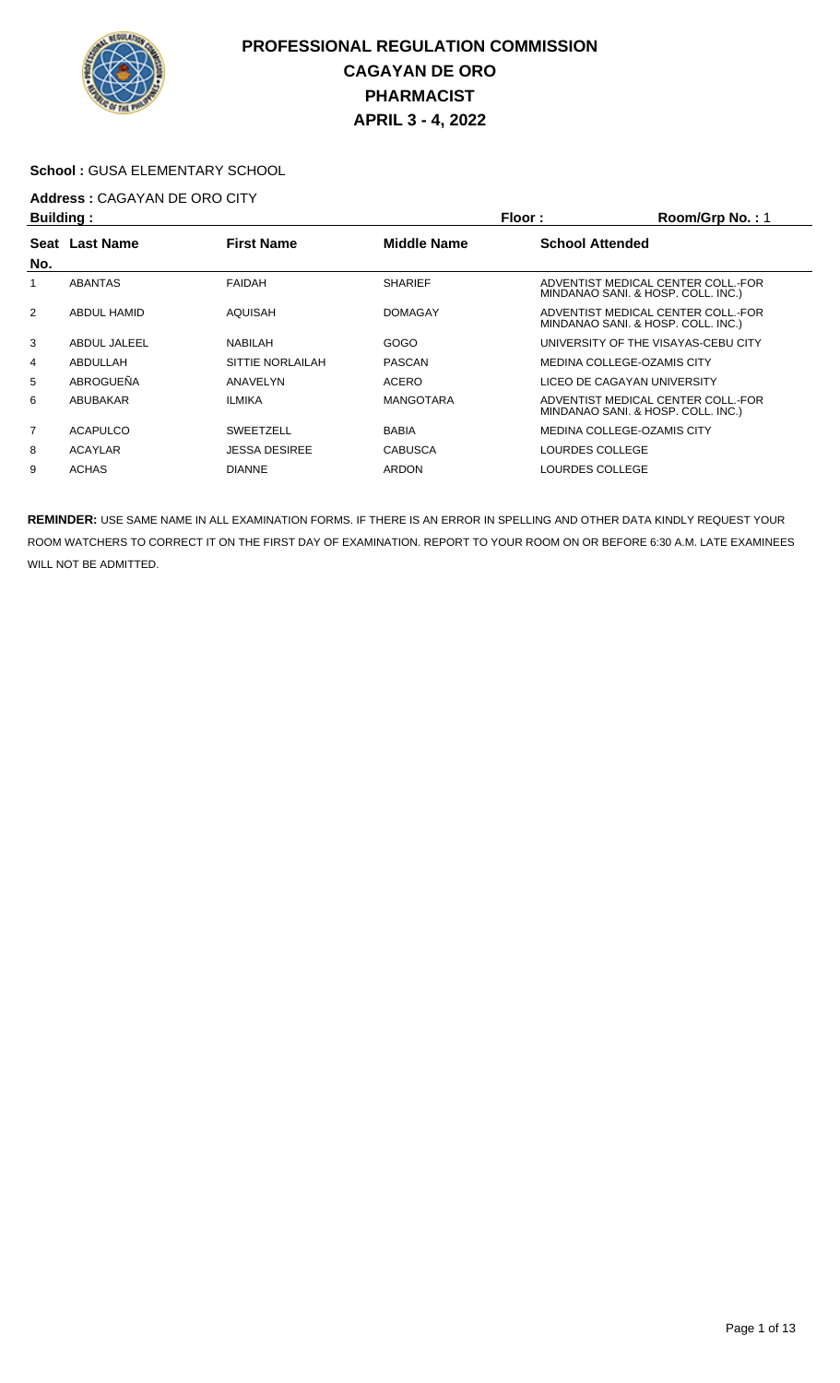

#### **School :** GUSA ELEMENTARY SCHOOL

# **Address :** CAGAYAN DE ORO CITY

| <b>Building:</b> |                    |                      |                    | Floor:<br>Room/Grp No.: 1   |                                                                          |  |
|------------------|--------------------|----------------------|--------------------|-----------------------------|--------------------------------------------------------------------------|--|
|                  | Seat Last Name     | <b>First Name</b>    | <b>Middle Name</b> | <b>School Attended</b>      |                                                                          |  |
| No.              |                    |                      |                    |                             |                                                                          |  |
|                  | <b>ABANTAS</b>     | <b>FAIDAH</b>        | <b>SHARIEF</b>     |                             | ADVENTIST MEDICAL CENTER COLL.-FOR<br>MINDANAO SANI. & HOSP. COLL. INC.) |  |
| $\overline{2}$   | <b>ABDUL HAMID</b> | AQUISAH              | <b>DOMAGAY</b>     |                             | ADVENTIST MEDICAL CENTER COLL.-FOR<br>MINDANAO SANI. & HOSP. COLL. INC.) |  |
| 3                | ABDUL JALEEL       | NABILAH              | GOGO               |                             | UNIVERSITY OF THE VISAYAS-CEBU CITY                                      |  |
| 4                | ABDULLAH           | SITTIE NORLAILAH     | <b>PASCAN</b>      | MEDINA COLLEGE-OZAMIS CITY  |                                                                          |  |
| 5                | ABROGUEÑA          | ANAVELYN             | <b>ACERO</b>       | LICEO DE CAGAYAN UNIVERSITY |                                                                          |  |
| 6                | ABUBAKAR           | <b>ILMIKA</b>        | <b>MANGOTARA</b>   |                             | ADVENTIST MEDICAL CENTER COLL.-FOR<br>MINDANAO SANI. & HOSP. COLL. INC.) |  |
| $\overline{7}$   | <b>ACAPULCO</b>    | <b>SWEETZELL</b>     | <b>BABIA</b>       | MEDINA COLLEGE-OZAMIS CITY  |                                                                          |  |
| 8                | <b>ACAYLAR</b>     | <b>JESSA DESIREE</b> | <b>CABUSCA</b>     | LOURDES COLLEGE             |                                                                          |  |
| 9                | <b>ACHAS</b>       | <b>DIANNE</b>        | <b>ARDON</b>       | LOURDES COLLEGE             |                                                                          |  |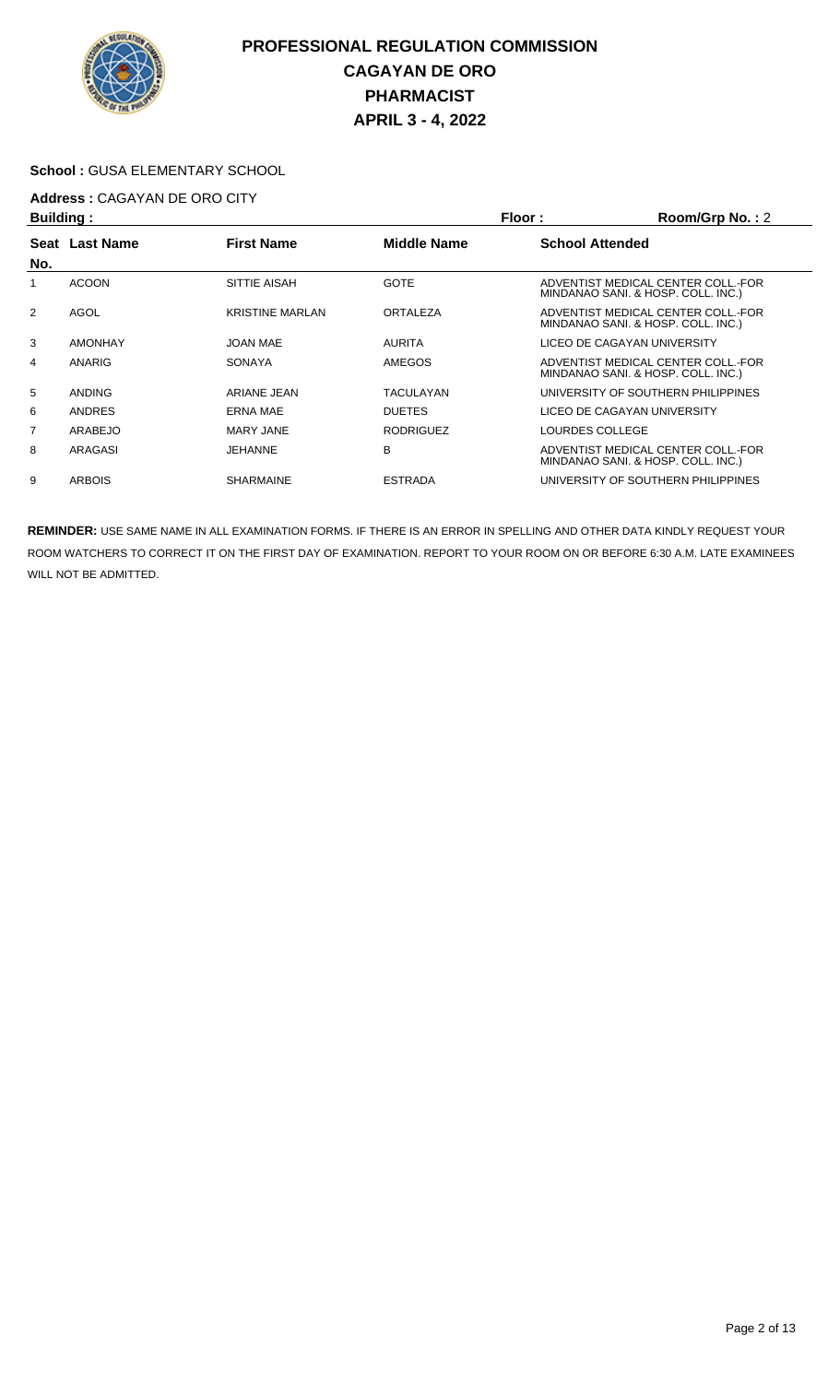

#### **School :** GUSA ELEMENTARY SCHOOL

# **Address :** CAGAYAN DE ORO CITY

| <b>Building:</b> |                |                        |                    | Room/Grp No.: 2<br>Floor: |                                                                          |  |
|------------------|----------------|------------------------|--------------------|---------------------------|--------------------------------------------------------------------------|--|
|                  | Seat Last Name | <b>First Name</b>      | <b>Middle Name</b> | <b>School Attended</b>    |                                                                          |  |
| No.              |                |                        |                    |                           |                                                                          |  |
| 1                | <b>ACOON</b>   | SITTIE AISAH           | <b>GOTE</b>        |                           | ADVENTIST MEDICAL CENTER COLL. FOR<br>MINDANAO SANI. & HOSP. COLL. INC.) |  |
| 2                | AGOL           | <b>KRISTINE MARLAN</b> | ORTALEZA           |                           | ADVENTIST MEDICAL CENTER COLL.-FOR<br>MINDANAO SANI. & HOSP. COLL. INC.) |  |
| 3                | <b>AMONHAY</b> | JOAN MAE               | <b>AURITA</b>      |                           | LICEO DE CAGAYAN UNIVERSITY                                              |  |
| 4                | ANARIG         | <b>SONAYA</b>          | <b>AMEGOS</b>      |                           | ADVENTIST MEDICAL CENTER COLL.-FOR<br>MINDANAO SANI. & HOSP. COLL. INC.) |  |
| 5                | <b>ANDING</b>  | ARIANE JEAN            | TACULAYAN          |                           | UNIVERSITY OF SOUTHERN PHILIPPINES                                       |  |
| 6                | <b>ANDRES</b>  | <b>ERNA MAE</b>        | <b>DUETES</b>      |                           | LICEO DE CAGAYAN UNIVERSITY                                              |  |
| 7                | ARABEJO        | <b>MARY JANE</b>       | <b>RODRIGUEZ</b>   | LOURDES COLLEGE           |                                                                          |  |
| 8                | ARAGASI        | <b>JEHANNE</b>         | B                  |                           | ADVENTIST MEDICAL CENTER COLL. FOR<br>MINDANAO SANI. & HOSP. COLL. INC.) |  |
| 9                | <b>ARBOIS</b>  | <b>SHARMAINE</b>       | <b>ESTRADA</b>     |                           | UNIVERSITY OF SOUTHERN PHILIPPINES                                       |  |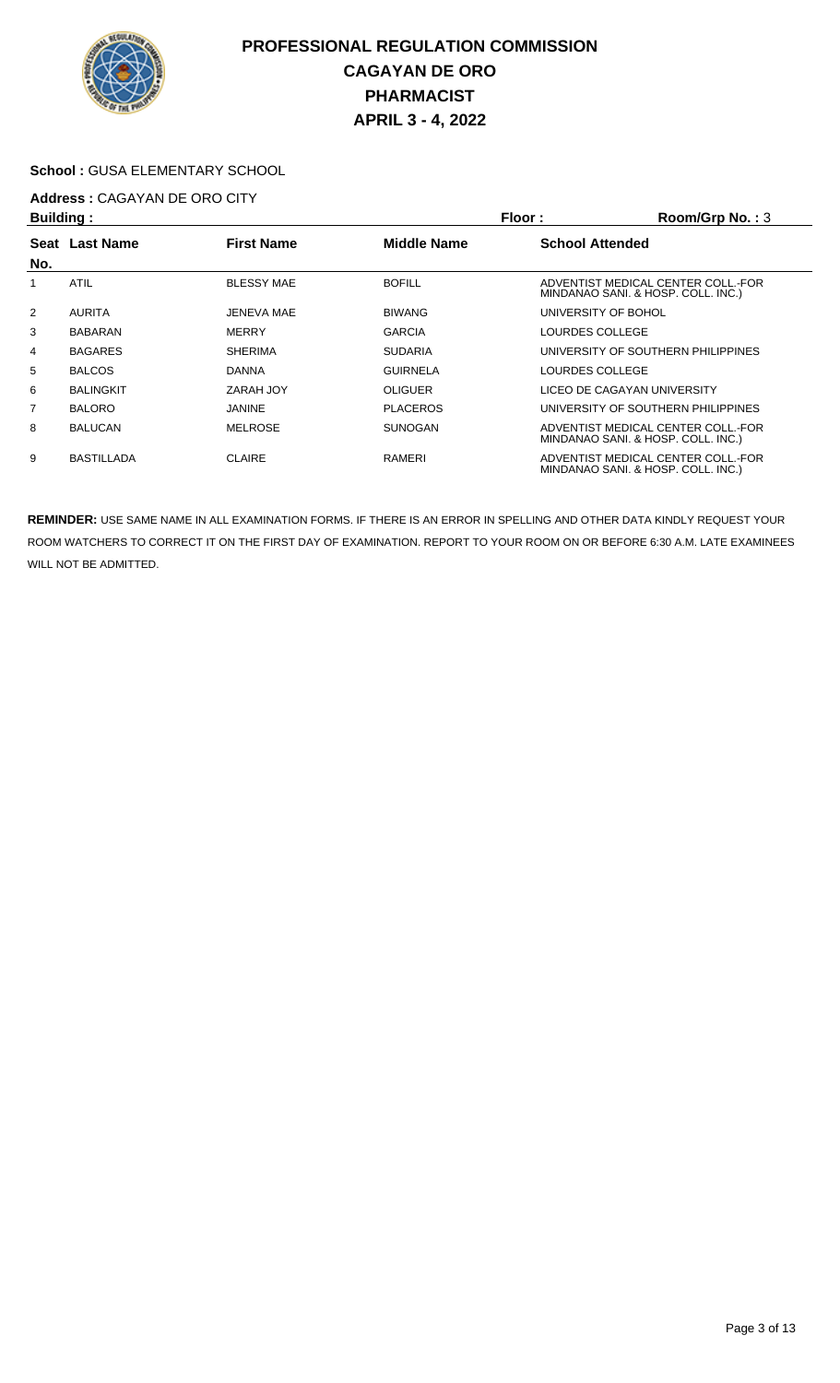

#### **School :** GUSA ELEMENTARY SCHOOL

# **Address :** CAGAYAN DE ORO CITY

| Building:      |                   |                   |                    | Floor:<br>Room/Grp No.: $3$                                              |  |
|----------------|-------------------|-------------------|--------------------|--------------------------------------------------------------------------|--|
| Seat           | <b>Last Name</b>  | <b>First Name</b> | <b>Middle Name</b> | <b>School Attended</b>                                                   |  |
| No.            |                   |                   |                    |                                                                          |  |
|                | <b>ATIL</b>       | <b>BLESSY MAE</b> | <b>BOFILL</b>      | ADVENTIST MEDICAL CENTER COLL.-FOR<br>MINDANAO SANI. & HOSP. COLL. INC.) |  |
| $\overline{2}$ | <b>AURITA</b>     | JENEVA MAE        | <b>BIWANG</b>      | UNIVERSITY OF BOHOL                                                      |  |
| 3              | <b>BABARAN</b>    | <b>MERRY</b>      | <b>GARCIA</b>      | LOURDES COLLEGE                                                          |  |
| 4              | <b>BAGARES</b>    | <b>SHERIMA</b>    | <b>SUDARIA</b>     | UNIVERSITY OF SOUTHERN PHILIPPINES                                       |  |
| 5              | <b>BALCOS</b>     | <b>DANNA</b>      | <b>GUIRNELA</b>    | LOURDES COLLEGE                                                          |  |
| 6              | <b>BALINGKIT</b>  | ZARAH JOY         | <b>OLIGUER</b>     | LICEO DE CAGAYAN UNIVERSITY                                              |  |
| $\overline{7}$ | <b>BALORO</b>     | JANINE            | <b>PLACEROS</b>    | UNIVERSITY OF SOUTHERN PHILIPPINES                                       |  |
| 8              | <b>BALUCAN</b>    | <b>MELROSE</b>    | <b>SUNOGAN</b>     | ADVENTIST MEDICAL CENTER COLL.-FOR<br>MINDANAO SANI. & HOSP. COLL. INC.) |  |
| 9              | <b>BASTILLADA</b> | <b>CLAIRE</b>     | RAMERI             | ADVENTIST MEDICAL CENTER COLL.-FOR<br>MINDANAO SANI. & HOSP. COLL. INC.) |  |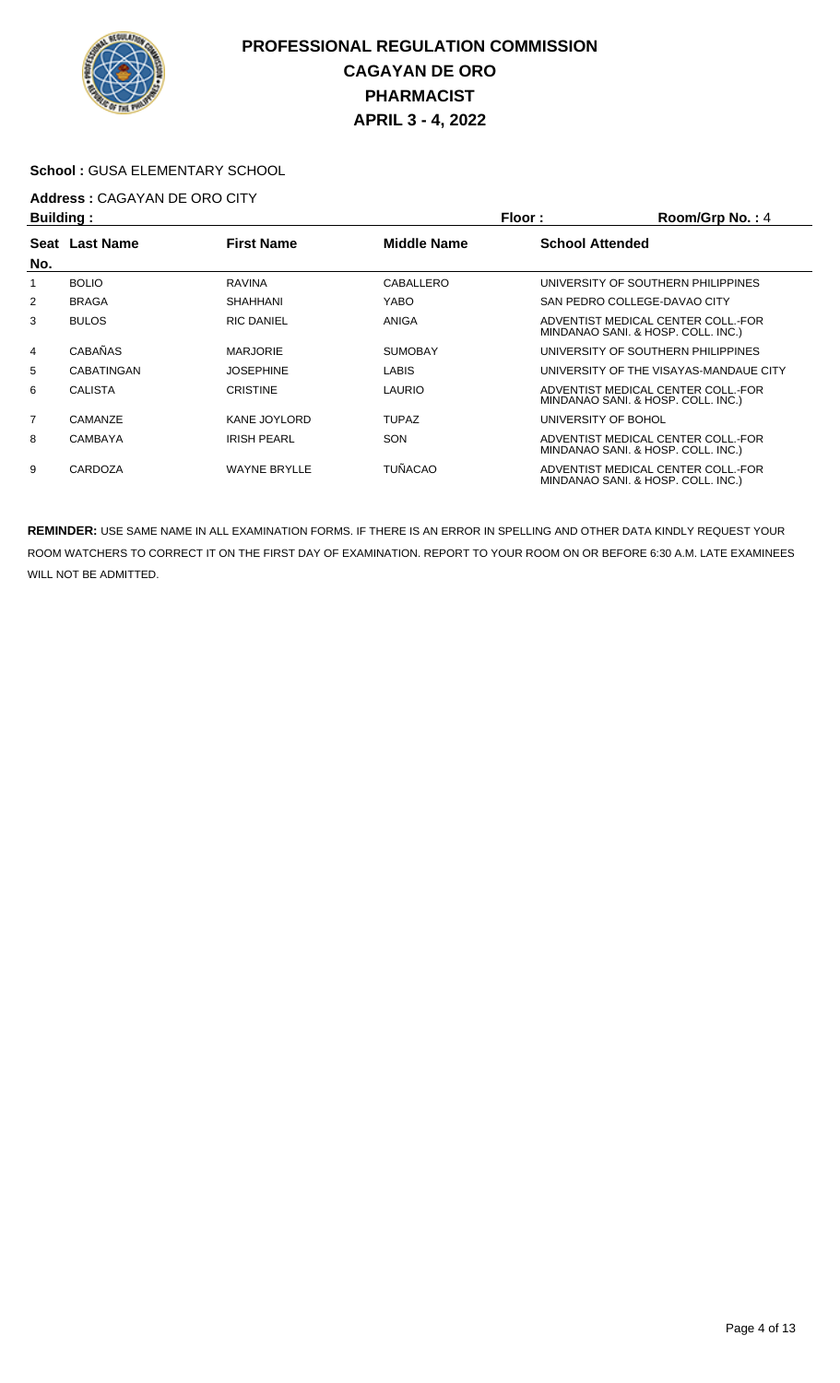

#### **School :** GUSA ELEMENTARY SCHOOL

# **Address : CAGAYAN DE ORO CITY**<br>**Ruilding** :

| <b>Building:</b> |                   |                     |                    | Room/Grp No.: 4<br>Floor: |                                                                          |  |
|------------------|-------------------|---------------------|--------------------|---------------------------|--------------------------------------------------------------------------|--|
|                  | Seat Last Name    | <b>First Name</b>   | <b>Middle Name</b> | <b>School Attended</b>    |                                                                          |  |
| No.              |                   |                     |                    |                           |                                                                          |  |
|                  | <b>BOLIO</b>      | <b>RAVINA</b>       | CABALLERO          |                           | UNIVERSITY OF SOUTHERN PHILIPPINES                                       |  |
| 2                | <b>BRAGA</b>      | SHAHHANI            | YABO               |                           | SAN PEDRO COLLEGE-DAVAO CITY                                             |  |
| 3                | <b>BULOS</b>      | <b>RIC DANIEL</b>   | ANIGA              |                           | ADVENTIST MEDICAL CENTER COLL.-FOR<br>MINDANAO SANI. & HOSP. COLL. INC.) |  |
| $\overline{4}$   | <b>CABAÑAS</b>    | <b>MARJORIE</b>     | <b>SUMOBAY</b>     |                           | UNIVERSITY OF SOUTHERN PHILIPPINES                                       |  |
| 5                | <b>CABATINGAN</b> | <b>JOSEPHINE</b>    | <b>LABIS</b>       |                           | UNIVERSITY OF THE VISAYAS-MANDAUE CITY                                   |  |
| 6                | <b>CALISTA</b>    | <b>CRISTINE</b>     | LAURIO             |                           | ADVENTIST MEDICAL CENTER COLL.-FOR<br>MINDANAO SANI. & HOSP. COLL. INC.) |  |
| 7                | CAMANZE           | KANE JOYLORD        | <b>TUPAZ</b>       | UNIVERSITY OF BOHOL       |                                                                          |  |
| 8                | <b>CAMBAYA</b>    | <b>IRISH PEARL</b>  | <b>SON</b>         |                           | ADVENTIST MEDICAL CENTER COLL.-FOR<br>MINDANAO SANI. & HOSP. COLL. INC.) |  |
| 9                | CARDOZA           | <b>WAYNE BRYLLE</b> | <b>TUÑACAO</b>     |                           | ADVENTIST MEDICAL CENTER COLL.-FOR<br>MINDANAO SANI. & HOSP. COLL. INC.) |  |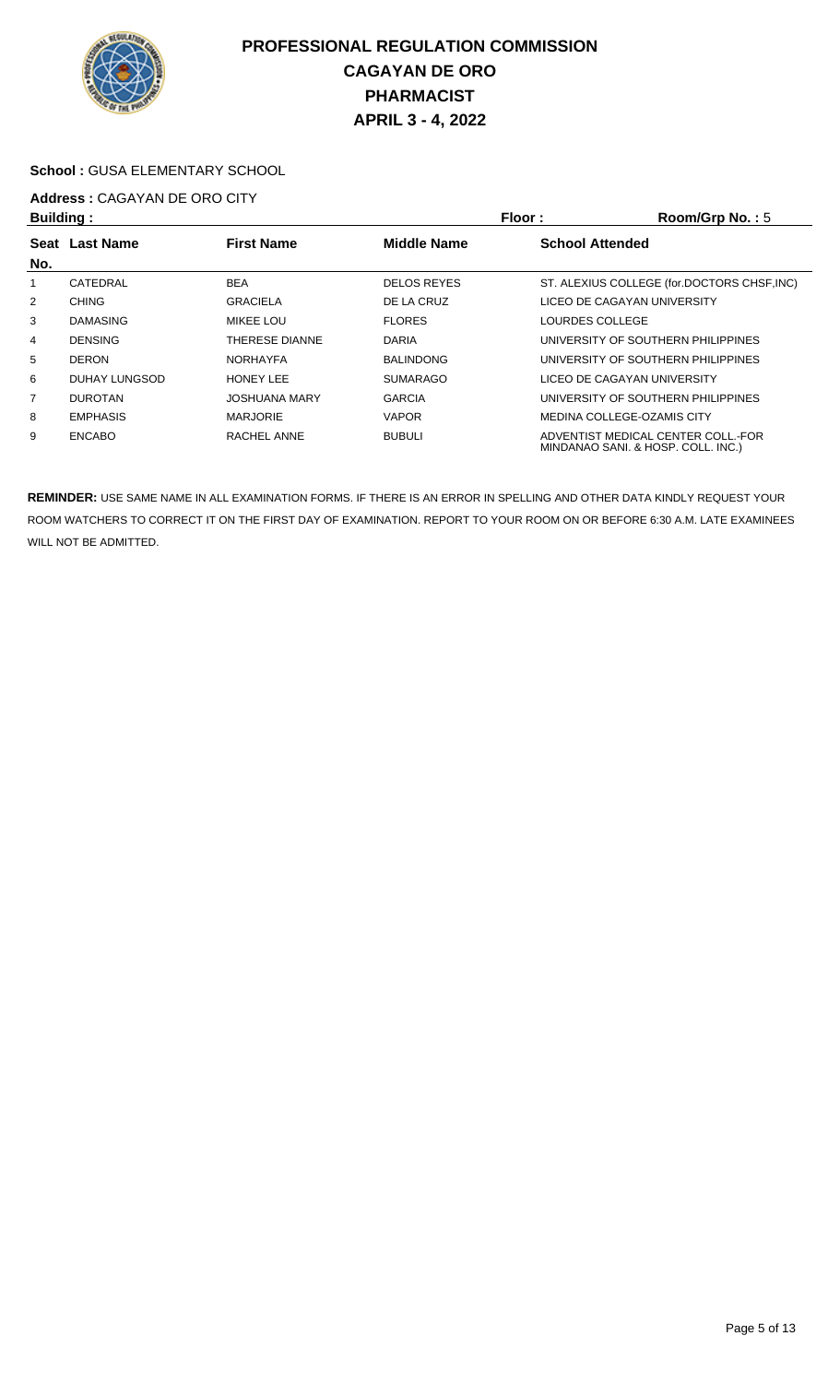

#### **School :** GUSA ELEMENTARY SCHOOL

#### **Address :** CAGAYAN DE ORO CITY **Building : Floor : Room/Grp No. :** 5

| <b>Dununiy</b> . |                 |                      |                    | FIUUL.                      | <b>DUUIIIUI U IVU.</b>                                                   |
|------------------|-----------------|----------------------|--------------------|-----------------------------|--------------------------------------------------------------------------|
|                  | Seat Last Name  | <b>First Name</b>    | <b>Middle Name</b> | <b>School Attended</b>      |                                                                          |
| No.              |                 |                      |                    |                             |                                                                          |
|                  | CATEDRAL        | <b>BEA</b>           | <b>DELOS REYES</b> |                             | ST. ALEXIUS COLLEGE (for.DOCTORS CHSF, INC)                              |
| $\overline{2}$   | <b>CHING</b>    | <b>GRACIELA</b>      | DE LA CRUZ         | LICEO DE CAGAYAN UNIVERSITY |                                                                          |
| 3                | <b>DAMASING</b> | MIKEE LOU            | <b>FLORES</b>      | LOURDES COLLEGE             |                                                                          |
| 4                | <b>DENSING</b>  | THERESE DIANNE       | <b>DARIA</b>       |                             | UNIVERSITY OF SOUTHERN PHILIPPINES                                       |
| 5                | <b>DERON</b>    | <b>NORHAYFA</b>      | <b>BALINDONG</b>   |                             | UNIVERSITY OF SOUTHERN PHILIPPINES                                       |
| 6                | DUHAY LUNGSOD   | <b>HONEY LEE</b>     | <b>SUMARAGO</b>    | LICEO DE CAGAYAN UNIVERSITY |                                                                          |
| 7                | <b>DUROTAN</b>  | <b>JOSHUANA MARY</b> | <b>GARCIA</b>      |                             | UNIVERSITY OF SOUTHERN PHILIPPINES                                       |
| 8                | <b>EMPHASIS</b> | <b>MARJORIE</b>      | <b>VAPOR</b>       | MEDINA COLLEGE-OZAMIS CITY  |                                                                          |
| 9                | <b>ENCABO</b>   | RACHEL ANNE          | <b>BUBULI</b>      |                             | ADVENTIST MEDICAL CENTER COLL.-FOR<br>MINDANAO SANI. & HOSP. COLL. INC.) |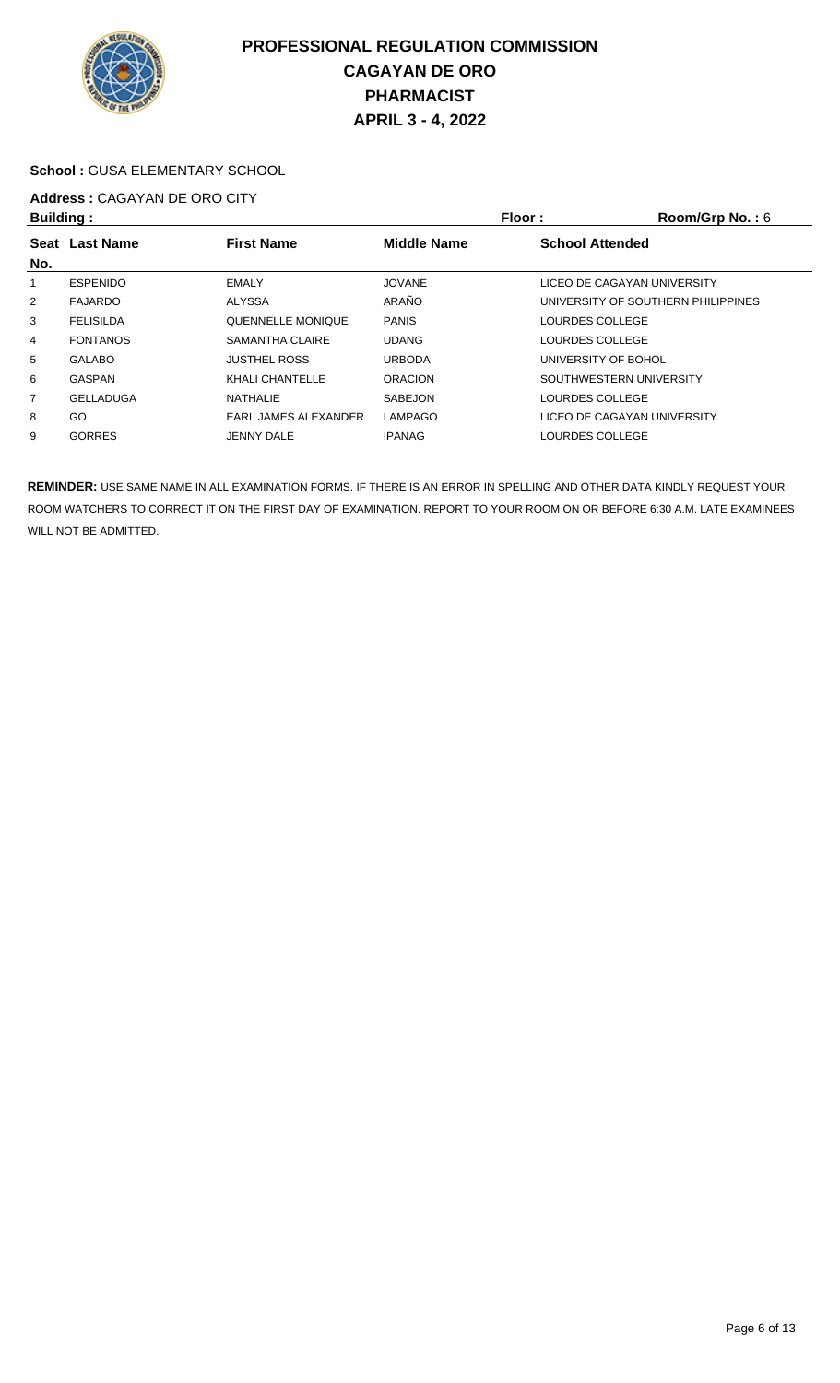

#### **School :** GUSA ELEMENTARY SCHOOL

#### **Address :** CAGAYAN DE ORO CITY **Building : Floor : Room/Grp No. :** 6

| <b>Dununiy</b> .                              |                  |                             | FIUVI.<br><b>NUUIII/UI D NU.</b> . 0 |                                    |  |  |
|-----------------------------------------------|------------------|-----------------------------|--------------------------------------|------------------------------------|--|--|
| <b>First Name</b><br><b>Last Name</b><br>Seat |                  | <b>Middle Name</b>          | <b>School Attended</b>               |                                    |  |  |
| No.                                           |                  |                             |                                      |                                    |  |  |
|                                               | <b>ESPENIDO</b>  | <b>EMALY</b>                | <b>JOVANE</b>                        | LICEO DE CAGAYAN UNIVERSITY        |  |  |
| $\overline{2}$                                | <b>FAJARDO</b>   | <b>ALYSSA</b>               | ARAÑO                                | UNIVERSITY OF SOUTHERN PHILIPPINES |  |  |
| 3                                             | <b>FELISILDA</b> | QUENNELLE MONIQUE           | <b>PANIS</b>                         | LOURDES COLLEGE                    |  |  |
| 4                                             | <b>FONTANOS</b>  | SAMANTHA CLAIRE             | <b>UDANG</b>                         | LOURDES COLLEGE                    |  |  |
| 5                                             | <b>GALABO</b>    | <b>JUSTHEL ROSS</b>         | <b>URBODA</b>                        | UNIVERSITY OF BOHOL                |  |  |
| 6                                             | <b>GASPAN</b>    | KHALI CHANTELLE             | <b>ORACION</b>                       | SOUTHWESTERN UNIVERSITY            |  |  |
| 7                                             | <b>GELLADUGA</b> | <b>NATHALIE</b>             | <b>SABEJON</b>                       | LOURDES COLLEGE                    |  |  |
| 8                                             | GO               | <b>EARL JAMES ALEXANDER</b> | <b>LAMPAGO</b>                       | LICEO DE CAGAYAN UNIVERSITY        |  |  |
| 9                                             | <b>GORRES</b>    | <b>JENNY DALE</b>           | <b>IPANAG</b>                        | LOURDES COLLEGE                    |  |  |
|                                               |                  |                             |                                      |                                    |  |  |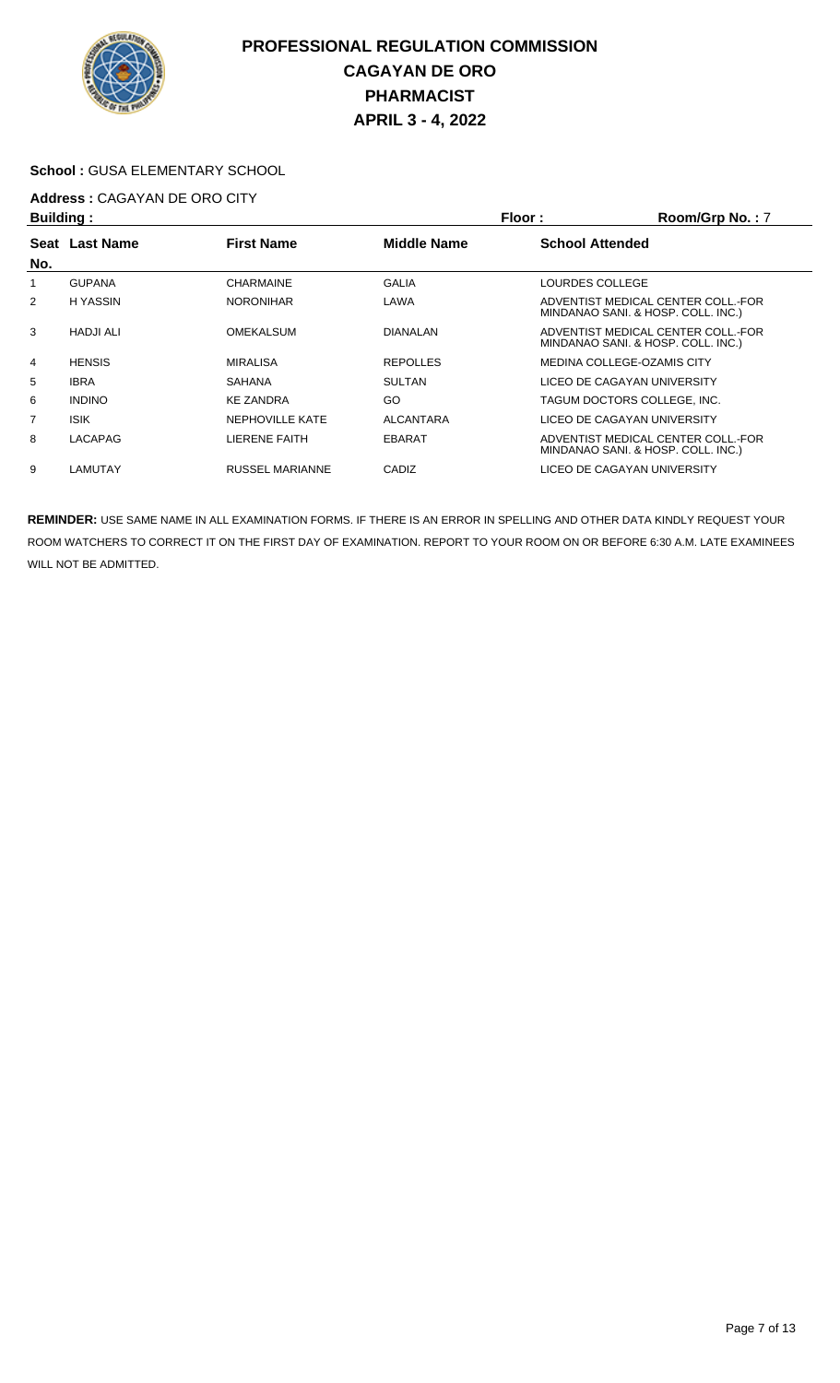

#### **School :** GUSA ELEMENTARY SCHOOL

# **Address :** CAGAYAN DE ORO CITY

| Building: |                  |                        | Floor:<br>Room/Grp No.: 7 |                            |                                                                          |
|-----------|------------------|------------------------|---------------------------|----------------------------|--------------------------------------------------------------------------|
| Seat      | <b>Last Name</b> | <b>First Name</b>      | Middle Name               | <b>School Attended</b>     |                                                                          |
| No.       |                  |                        |                           |                            |                                                                          |
|           | <b>GUPANA</b>    | <b>CHARMAINE</b>       | <b>GALIA</b>              | LOURDES COLLEGE            |                                                                          |
| 2         | <b>HYASSIN</b>   | <b>NORONIHAR</b>       | LAWA                      |                            | ADVENTIST MEDICAL CENTER COLL.-FOR<br>MINDANAO SANI. & HOSP. COLL. INC.) |
| 3         | <b>HADJI ALI</b> | <b>OMEKALSUM</b>       | <b>DIANALAN</b>           |                            | ADVENTIST MEDICAL CENTER COLL.-FOR<br>MINDANAO SANI. & HOSP. COLL. INC.) |
| 4         | <b>HENSIS</b>    | <b>MIRALISA</b>        | <b>REPOLLES</b>           | MEDINA COLLEGE-OZAMIS CITY |                                                                          |
| 5         | <b>IBRA</b>      | <b>SAHANA</b>          | <b>SULTAN</b>             |                            | LICEO DE CAGAYAN UNIVERSITY                                              |
| 6         | <b>INDINO</b>    | <b>KE ZANDRA</b>       | GO                        |                            | TAGUM DOCTORS COLLEGE. INC.                                              |
| 7         | <b>ISIK</b>      | <b>NEPHOVILLE KATE</b> | <b>ALCANTARA</b>          |                            | LICEO DE CAGAYAN UNIVERSITY                                              |
| 8         | LACAPAG          | LIERENE FAITH          | <b>EBARAT</b>             |                            | ADVENTIST MEDICAL CENTER COLL. FOR<br>MINDANAO SANI. & HOSP. COLL. INC.) |
| 9         | LAMUTAY          | RUSSEL MARIANNE        | CADIZ                     |                            | LICEO DE CAGAYAN UNIVERSITY                                              |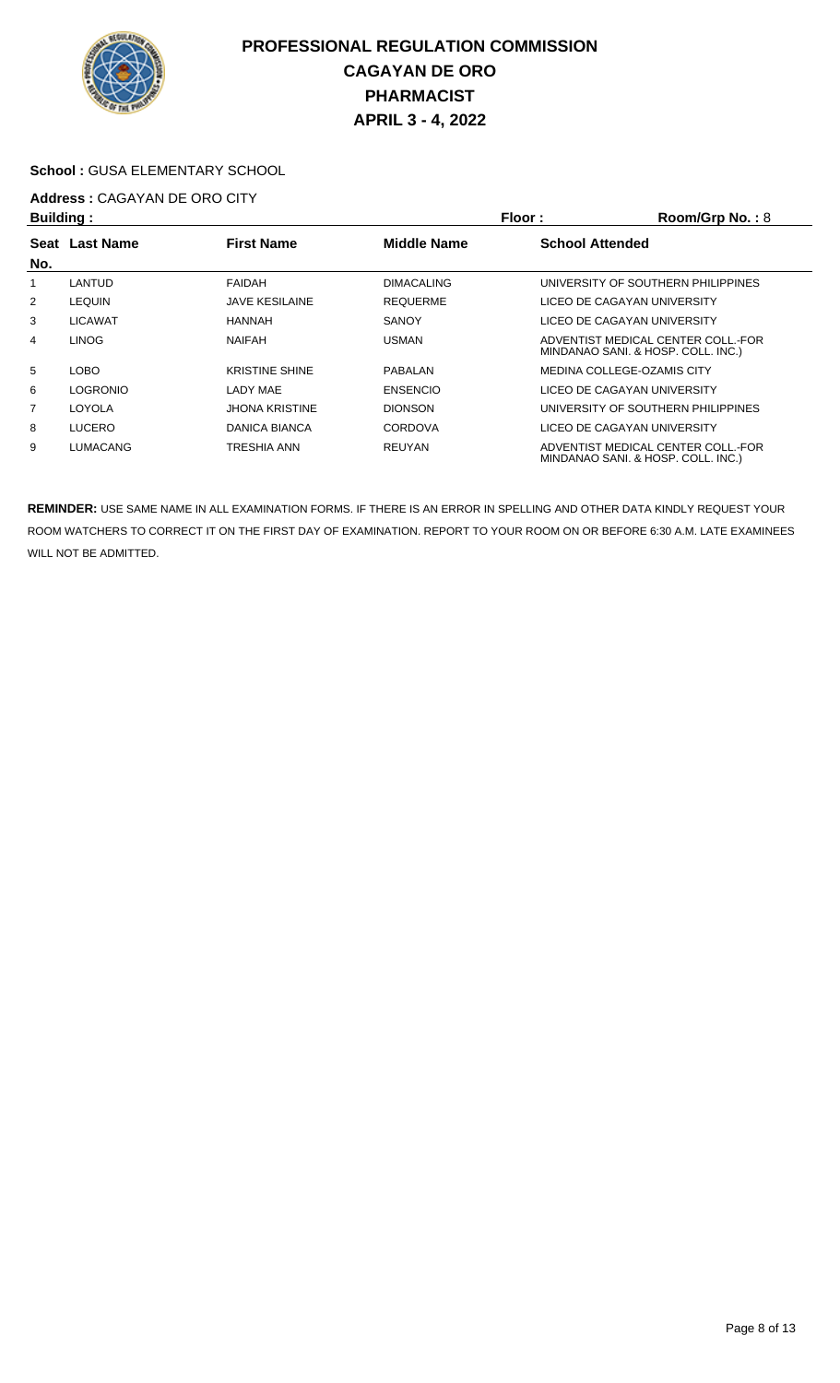

#### **School :** GUSA ELEMENTARY SCHOOL

# **Address :** CAGAYAN DE ORO CITY

| <b>Building:</b> |                                                           |                       | Floor:<br>Room/Grp No.: 8 |  |                                                                          |
|------------------|-----------------------------------------------------------|-----------------------|---------------------------|--|--------------------------------------------------------------------------|
|                  | <b>First Name</b><br><b>Middle Name</b><br>Seat Last Name |                       | <b>School Attended</b>    |  |                                                                          |
| No.              |                                                           |                       |                           |  |                                                                          |
|                  | LANTUD                                                    | <b>FAIDAH</b>         | <b>DIMACALING</b>         |  | UNIVERSITY OF SOUTHERN PHILIPPINES                                       |
| 2                | <b>LEQUIN</b>                                             | <b>JAVE KESILAINE</b> | <b>REQUERME</b>           |  | LICEO DE CAGAYAN UNIVERSITY                                              |
| 3                | <b>LICAWAT</b>                                            | <b>HANNAH</b>         | <b>SANOY</b>              |  | LICEO DE CAGAYAN UNIVERSITY                                              |
| 4                | <b>LINOG</b>                                              | <b>NAIFAH</b>         | <b>USMAN</b>              |  | ADVENTIST MEDICAL CENTER COLL.-FOR<br>MINDANAO SANI. & HOSP. COLL. INC.) |
| 5                | LOBO                                                      | <b>KRISTINE SHINE</b> | PABALAN                   |  | MEDINA COLLEGE-OZAMIS CITY                                               |
| 6                | <b>LOGRONIO</b>                                           | LADY MAE              | <b>ENSENCIO</b>           |  | LICEO DE CAGAYAN UNIVERSITY                                              |
| 7                | LOYOLA                                                    | JHONA KRISTINE        | <b>DIONSON</b>            |  | UNIVERSITY OF SOUTHERN PHILIPPINES                                       |
| 8                | <b>LUCERO</b>                                             | DANICA BIANCA         | <b>CORDOVA</b>            |  | LICEO DE CAGAYAN UNIVERSITY                                              |
| 9                | LUMACANG                                                  | TRESHIA ANN           | <b>REUYAN</b>             |  | ADVENTIST MEDICAL CENTER COLL.-FOR<br>MINDANAO SANI. & HOSP. COLL. INC.) |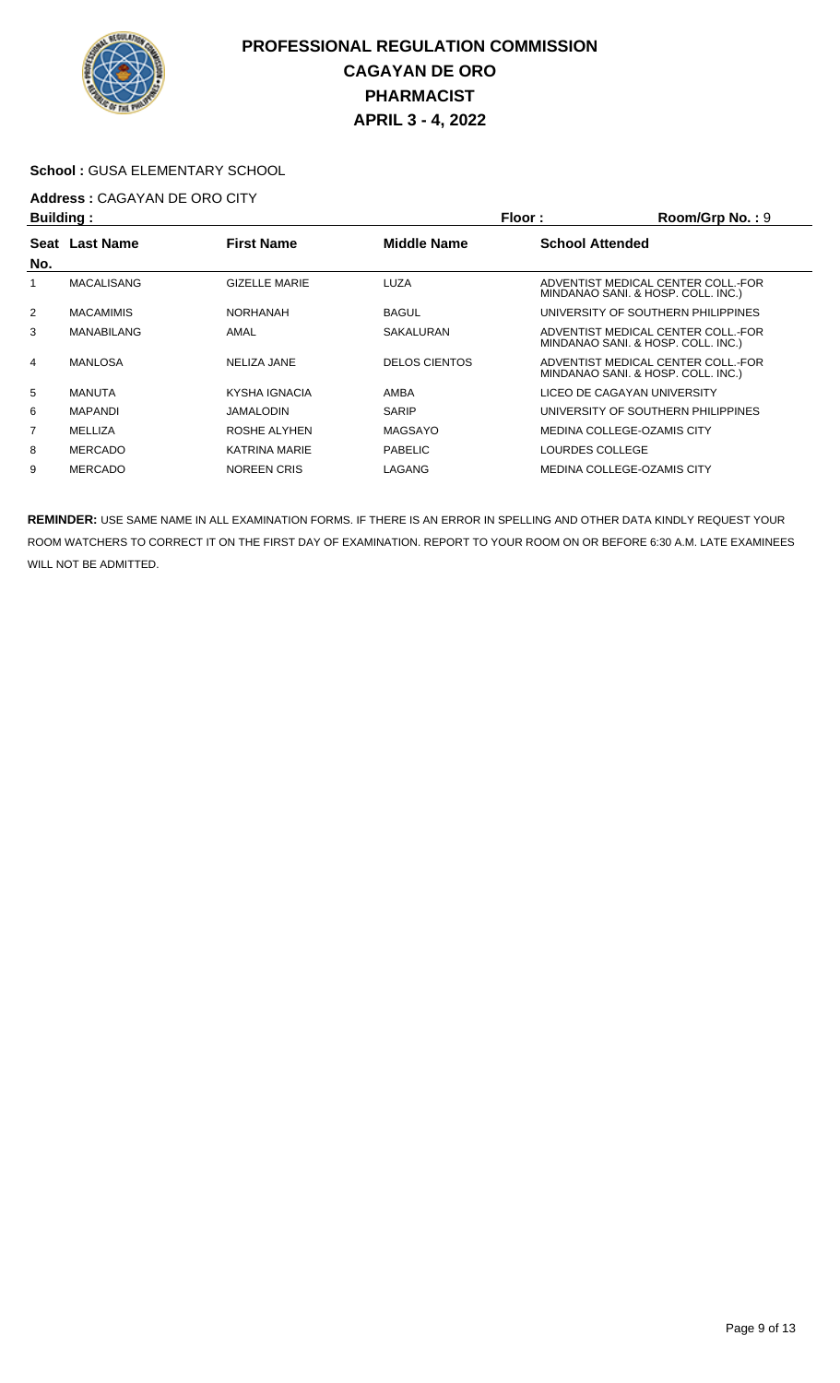

#### **School :** GUSA ELEMENTARY SCHOOL

# **Address :** CAGAYAN DE ORO CITY

| Building:   |                   |                      |                      | Floor:<br>Room/Grp No.: 9 |                                                                          |  |
|-------------|-------------------|----------------------|----------------------|---------------------------|--------------------------------------------------------------------------|--|
| <b>Seat</b> | <b>Last Name</b>  | <b>First Name</b>    | <b>Middle Name</b>   | <b>School Attended</b>    |                                                                          |  |
| No.         |                   |                      |                      |                           |                                                                          |  |
|             | <b>MACALISANG</b> | <b>GIZELLE MARIE</b> | LUZA                 |                           | ADVENTIST MEDICAL CENTER COLL.-FOR<br>MINDANAO SANI. & HOSP. COLL. INC.) |  |
| 2           | <b>MACAMIMIS</b>  | <b>NORHANAH</b>      | <b>BAGUL</b>         |                           | UNIVERSITY OF SOUTHERN PHILIPPINES                                       |  |
| 3           | <b>MANABILANG</b> | AMAL                 | SAKALURAN            |                           | ADVENTIST MEDICAL CENTER COLL.-FOR<br>MINDANAO SANI. & HOSP. COLL. INC.) |  |
| 4           | <b>MANLOSA</b>    | NELIZA JANE          | <b>DELOS CIENTOS</b> |                           | ADVENTIST MEDICAL CENTER COLL.-FOR<br>MINDANAO SANI. & HOSP. COLL. INC.) |  |
| 5           | <b>MANUTA</b>     | KYSHA IGNACIA        | AMBA                 |                           | LICEO DE CAGAYAN UNIVERSITY                                              |  |
| 6           | <b>MAPANDI</b>    | <b>JAMALODIN</b>     | <b>SARIP</b>         |                           | UNIVERSITY OF SOUTHERN PHILIPPINES                                       |  |
| 7           | MELLIZA           | ROSHE ALYHEN         | <b>MAGSAYO</b>       |                           | MEDINA COLLEGE-OZAMIS CITY                                               |  |
| 8           | <b>MERCADO</b>    | <b>KATRINA MARIE</b> | <b>PABELIC</b>       | LOURDES COLLEGE           |                                                                          |  |
| 9           | <b>MERCADO</b>    | <b>NOREEN CRIS</b>   | LAGANG               |                           | MEDINA COLLEGE-OZAMIS CITY                                               |  |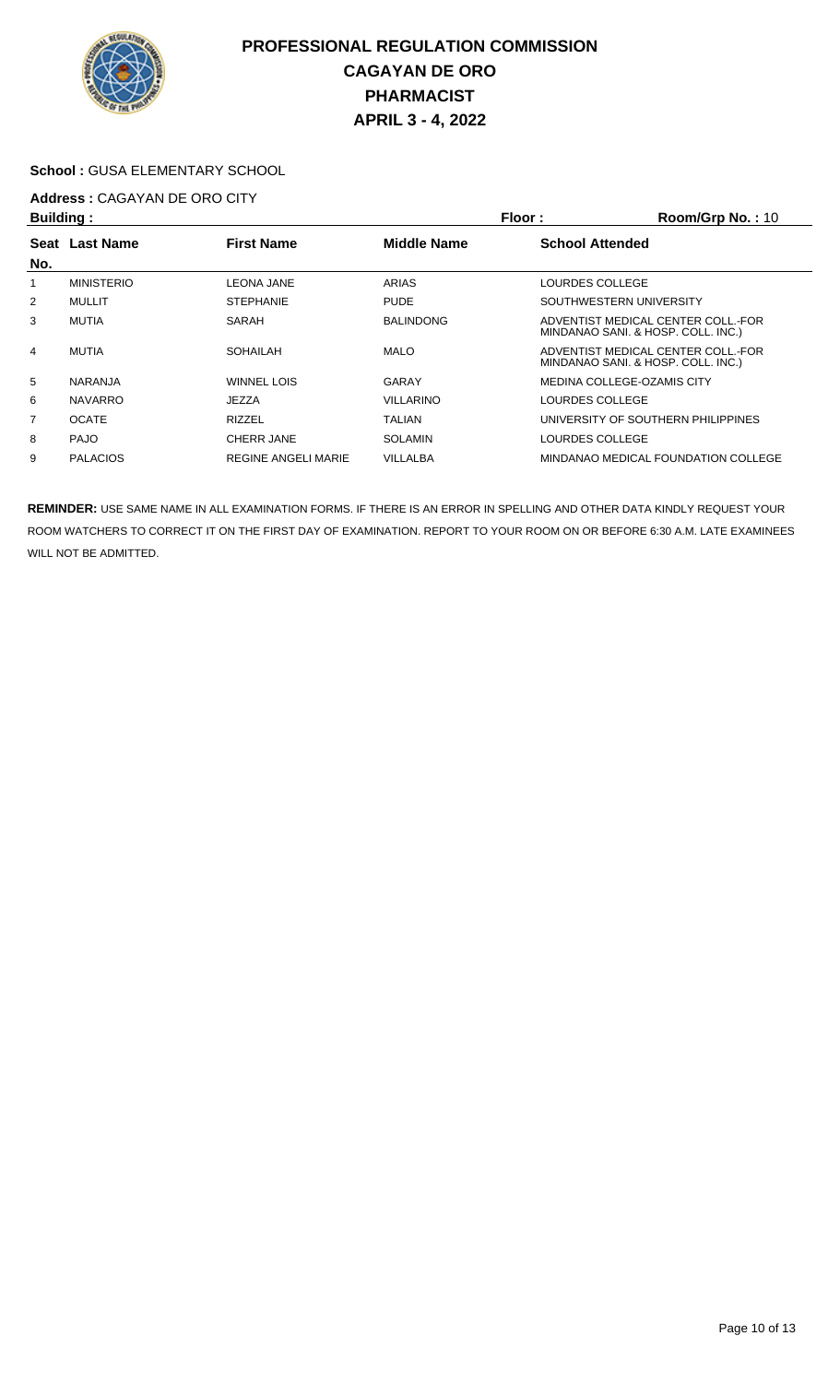

#### **School :** GUSA ELEMENTARY SCHOOL

# **Address :** CAGAYAN DE ORO CITY

| <b>Building:</b> |                   | Floor:                     | Room/Grp No.: 10   |                                                                          |
|------------------|-------------------|----------------------------|--------------------|--------------------------------------------------------------------------|
|                  | Seat Last Name    | <b>First Name</b>          | <b>Middle Name</b> | <b>School Attended</b>                                                   |
| No.              |                   |                            |                    |                                                                          |
|                  | <b>MINISTERIO</b> | <b>LEONA JANE</b>          | ARIAS              | LOURDES COLLEGE                                                          |
| 2                | <b>MULLIT</b>     | <b>STEPHANIE</b>           | <b>PUDE</b>        | SOUTHWESTERN UNIVERSITY                                                  |
| 3                | <b>MUTIA</b>      | SARAH                      | <b>BALINDONG</b>   | ADVENTIST MEDICAL CENTER COLL. FOR<br>MINDANAO SANI. & HOSP. COLL. INC.) |
| 4                | <b>MUTIA</b>      | SOHAILAH                   | <b>MALO</b>        | ADVENTIST MEDICAL CENTER COLL.-FOR<br>MINDANAO SANI. & HOSP. COLL. INC.) |
| 5                | <b>NARANJA</b>    | WINNEL LOIS                | GARAY              | MEDINA COLLEGE-OZAMIS CITY                                               |
| 6                | <b>NAVARRO</b>    | JEZZA                      | <b>VILLARINO</b>   | LOURDES COLLEGE                                                          |
| 7                | <b>OCATE</b>      | <b>RIZZEL</b>              | TALIAN             | UNIVERSITY OF SOUTHERN PHILIPPINES                                       |
| 8                | <b>PAJO</b>       | CHERR JANE                 | <b>SOLAMIN</b>     | LOURDES COLLEGE                                                          |
| 9                | <b>PALACIOS</b>   | <b>REGINE ANGELI MARIE</b> | VILLALBA           | MINDANAO MEDICAL FOUNDATION COLLEGE                                      |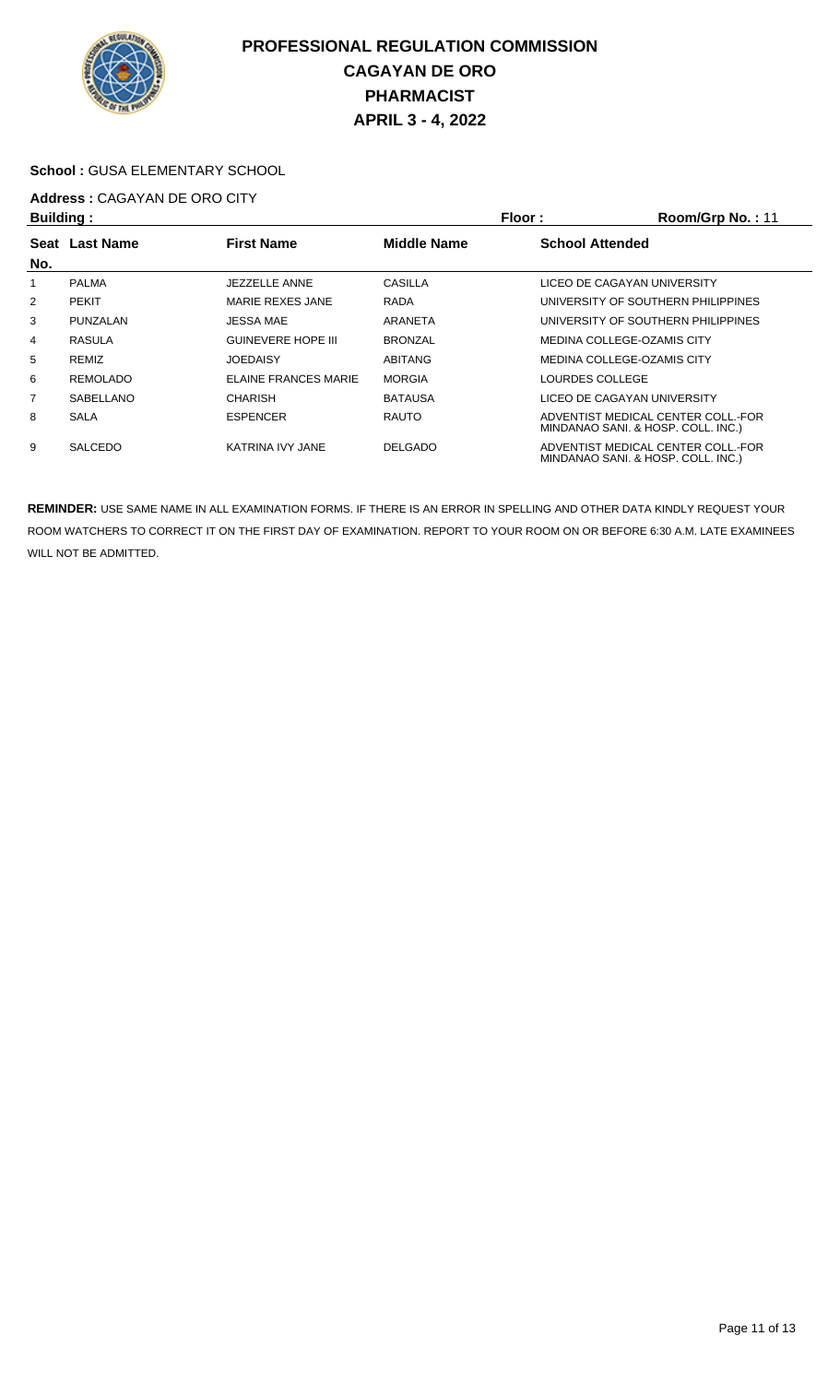

#### **School :** GUSA ELEMENTARY SCHOOL

# **Address :** CAGAYAN DE ORO CITY

| <b>Building:</b> |                 |                           | Floor:<br>Room/Grp No.: 11 |                        |                                                                          |
|------------------|-----------------|---------------------------|----------------------------|------------------------|--------------------------------------------------------------------------|
|                  | Seat Last Name  | <b>First Name</b>         | <b>Middle Name</b>         | <b>School Attended</b> |                                                                          |
| No.              |                 |                           |                            |                        |                                                                          |
|                  | <b>PALMA</b>    | JEZZELLE ANNE             | CASILLA                    |                        | LICEO DE CAGAYAN UNIVERSITY                                              |
| 2                | <b>PEKIT</b>    | MARIE REXES JANE          | <b>RADA</b>                |                        | UNIVERSITY OF SOUTHERN PHILIPPINES                                       |
| 3                | PUNZALAN        | JESSA MAE                 | ARANETA                    |                        | UNIVERSITY OF SOUTHERN PHILIPPINES                                       |
| 4                | RASULA          | <b>GUINEVERE HOPE III</b> | <b>BRONZAL</b>             |                        | MEDINA COLLEGE-OZAMIS CITY                                               |
| 5                | <b>REMIZ</b>    | <b>JOEDAISY</b>           | <b>ABITANG</b>             |                        | MEDINA COLLEGE-OZAMIS CITY                                               |
| 6                | <b>REMOLADO</b> | ELAINE FRANCES MARIE      | <b>MORGIA</b>              | <b>LOURDES COLLEGE</b> |                                                                          |
| 7                | SABELLANO       | <b>CHARISH</b>            | <b>BATAUSA</b>             |                        | LICEO DE CAGAYAN UNIVERSITY                                              |
| 8                | <b>SALA</b>     | <b>ESPENCER</b>           | <b>RAUTO</b>               |                        | ADVENTIST MEDICAL CENTER COLL. FOR<br>MINDANAO SANI. & HOSP. COLL. INC.) |
| 9                | <b>SALCEDO</b>  | KATRINA IVY JANE          | <b>DELGADO</b>             |                        | ADVENTIST MEDICAL CENTER COLL.-FOR<br>MINDANAO SANI. & HOSP. COLL. INC.) |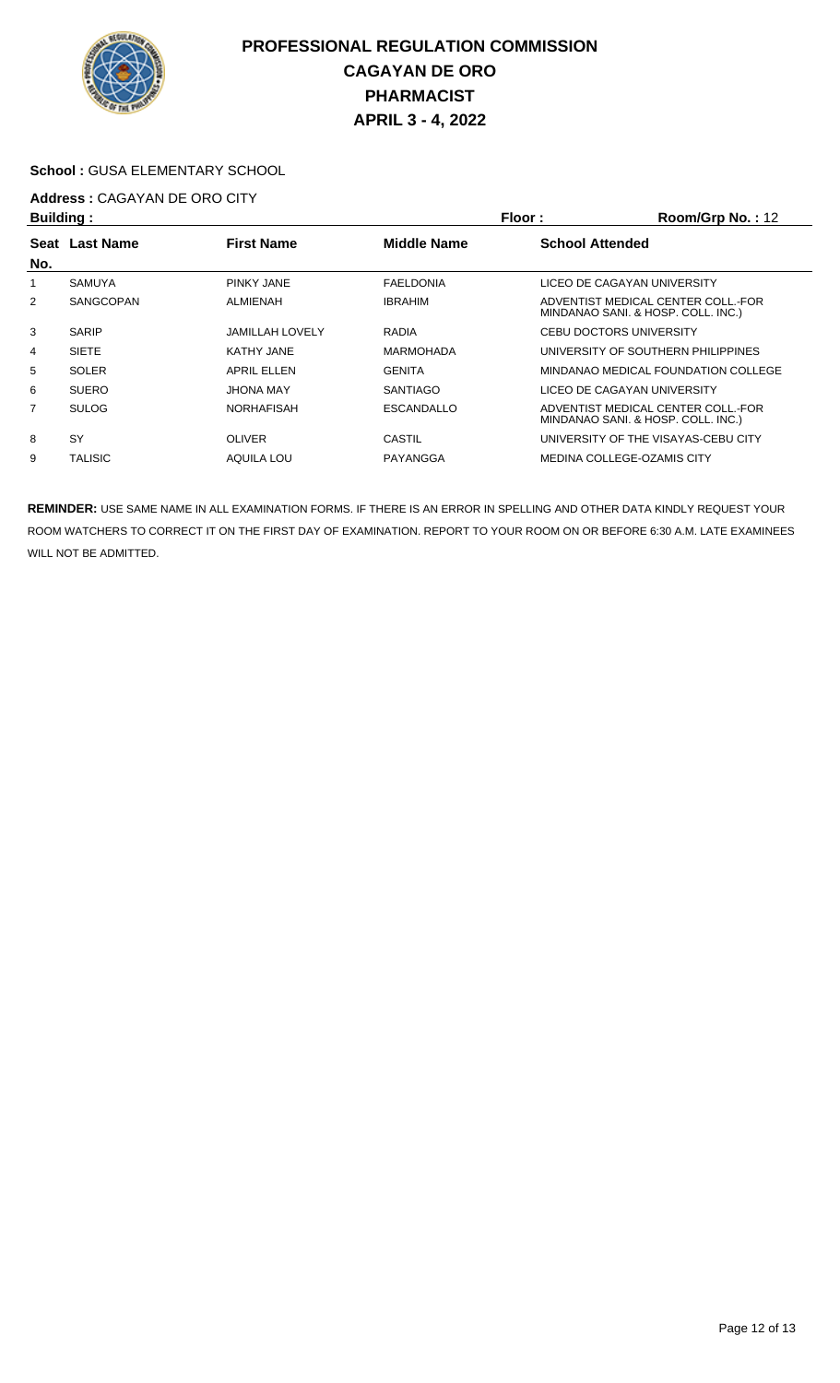

#### **School :** GUSA ELEMENTARY SCHOOL

# **Address :** CAGAYAN DE ORO CITY

| Building:   |                  |                        |                    | Floor:<br>Room/Grp No.: 12 |                                                                          |  |
|-------------|------------------|------------------------|--------------------|----------------------------|--------------------------------------------------------------------------|--|
| <b>Seat</b> | <b>Last Name</b> | <b>First Name</b>      | <b>Middle Name</b> | <b>School Attended</b>     |                                                                          |  |
| No.         |                  |                        |                    |                            |                                                                          |  |
|             | <b>SAMUYA</b>    | <b>PINKY JANE</b>      | <b>FAELDONIA</b>   |                            | LICEO DE CAGAYAN UNIVERSITY                                              |  |
| 2           | SANGCOPAN        | <b>ALMIENAH</b>        | <b>IBRAHIM</b>     |                            | ADVENTIST MEDICAL CENTER COLL.-FOR<br>MINDANAO SANI. & HOSP. COLL. INC.) |  |
| 3           | <b>SARIP</b>     | <b>JAMILLAH LOVELY</b> | <b>RADIA</b>       |                            | <b>CEBU DOCTORS UNIVERSITY</b>                                           |  |
| 4           | <b>SIETE</b>     | <b>KATHY JANE</b>      | <b>MARMOHADA</b>   |                            | UNIVERSITY OF SOUTHERN PHILIPPINES                                       |  |
| 5           | <b>SOLER</b>     | <b>APRIL ELLEN</b>     | <b>GENITA</b>      |                            | MINDANAO MEDICAL FOUNDATION COLLEGE                                      |  |
| 6           | <b>SUERO</b>     | JHONA MAY              | <b>SANTIAGO</b>    |                            | LICEO DE CAGAYAN UNIVERSITY                                              |  |
| 7           | <b>SULOG</b>     | <b>NORHAFISAH</b>      | <b>ESCANDALLO</b>  |                            | ADVENTIST MEDICAL CENTER COLL.-FOR<br>MINDANAO SANI. & HOSP. COLL. INC.) |  |
| 8           | SY               | <b>OLIVER</b>          | CASTIL             |                            | UNIVERSITY OF THE VISAYAS-CEBU CITY                                      |  |
| 9           | <b>TALISIC</b>   | AQUILA LOU             | PAYANGGA           |                            | <b>MEDINA COLLEGE-OZAMIS CITY</b>                                        |  |